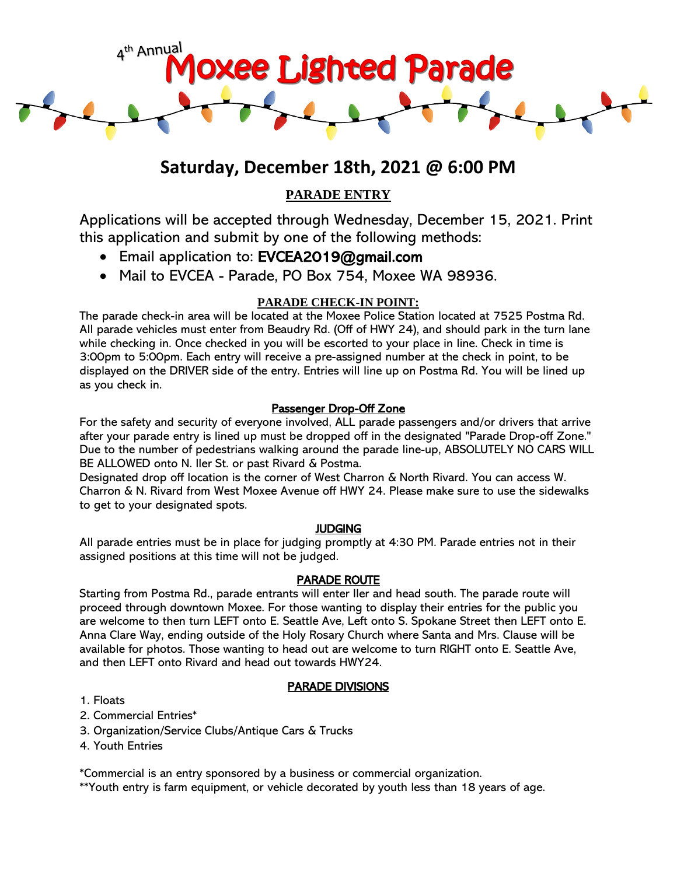

# **Saturday, December 18th, 2021 @ 6:00 PM**

# **PARADE ENTRY**

Applications will be accepted through Wednesday, December 15, 2021. Print this application and submit by one of the following methods:

- Email application to: EVCEA2019@gmail.com
- Mail to EVCEA Parade, PO Box 754, Moxee WA 98936.

## **PARADE CHECK-IN POINT:**

The parade check-in area will be located at the Moxee Police Station located at 7525 Postma Rd. All parade vehicles must enter from Beaudry Rd. (Off of HWY 24), and should park in the turn lane while checking in. Once checked in you will be escorted to your place in line. Check in time is 3:00pm to 5:00pm. Each entry will receive a pre-assigned number at the check in point, to be displayed on the DRIVER side of the entry. Entries will line up on Postma Rd. You will be lined up as you check in.

## Passenger Drop-Off Zone

For the safety and security of everyone involved, ALL parade passengers and/or drivers that arrive after your parade entry is lined up must be dropped off in the designated "Parade Drop-off Zone." Due to the number of pedestrians walking around the parade line-up, ABSOLUTELY NO CARS WILL BE ALLOWED onto N. Iler St. or past Rivard & Postma.

Designated drop off location is the corner of West Charron & North Rivard. You can access W. Charron & N. Rivard from West Moxee Avenue off HWY 24. Please make sure to use the sidewalks to get to your designated spots.

#### **JUDGING**

All parade entries must be in place for judging promptly at 4:30 PM. Parade entries not in their assigned positions at this time will not be judged.

#### PARADE ROUTE

Starting from Postma Rd., parade entrants will enter Iler and head south. The parade route will proceed through downtown Moxee. For those wanting to display their entries for the public you are welcome to then turn LEFT onto E. Seattle Ave, Left onto S. Spokane Street then LEFT onto E. Anna Clare Way, ending outside of the Holy Rosary Church where Santa and Mrs. Clause will be available for photos. Those wanting to head out are welcome to turn RIGHT onto E. Seattle Ave, and then LEFT onto Rivard and head out towards HWY24.

#### PARADE DIVISIONS

- 1. Floats
- 2. Commercial Entries\*
- 3. Organization/Service Clubs/Antique Cars & Trucks
- 4. Youth Entries

\*Commercial is an entry sponsored by a business or commercial organization.

\*\*Youth entry is farm equipment, or vehicle decorated by youth less than 18 years of age.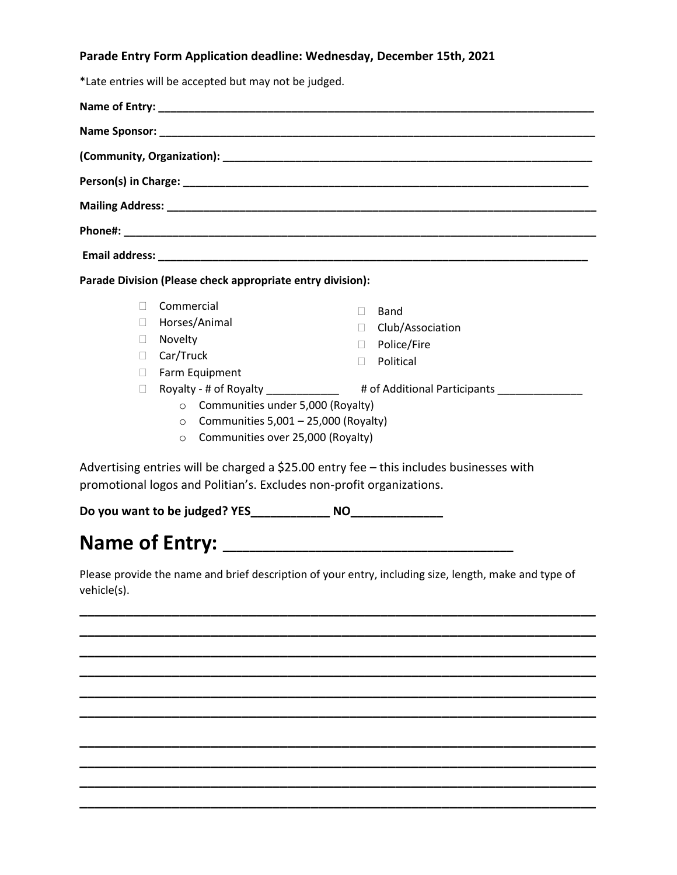#### **Parade Entry Form Application deadline: Wednesday, December 15th, 2021**

|                                                                                           | *Late entries will be accepted but may not be judged.      |                                                                                         |  |  |
|-------------------------------------------------------------------------------------------|------------------------------------------------------------|-----------------------------------------------------------------------------------------|--|--|
|                                                                                           |                                                            |                                                                                         |  |  |
|                                                                                           |                                                            |                                                                                         |  |  |
|                                                                                           |                                                            |                                                                                         |  |  |
|                                                                                           |                                                            |                                                                                         |  |  |
|                                                                                           |                                                            |                                                                                         |  |  |
|                                                                                           |                                                            |                                                                                         |  |  |
|                                                                                           | Parade Division (Please check appropriate entry division): |                                                                                         |  |  |
| $\Box$                                                                                    | Commercial                                                 | Band<br>ш                                                                               |  |  |
| П                                                                                         | Horses/Animal                                              | Club/Association<br>$\Box$                                                              |  |  |
| $\Box$                                                                                    | Novelty                                                    | D Police/Fire                                                                           |  |  |
| П.                                                                                        | Car/Truck                                                  | Political<br>$\Box$                                                                     |  |  |
| $\mathbb{R}^n$                                                                            | Farm Equipment                                             |                                                                                         |  |  |
| П                                                                                         |                                                            | Royalty - # of Royalty _____________ # of Additional Participants ______________        |  |  |
| $\circ$ Communities under 5,000 (Royalty)<br>$\circ$ Communities 5,001 - 25,000 (Royalty) |                                                            |                                                                                         |  |  |
|                                                                                           | Communities over 25,000 (Royalty)<br>$\circ$               |                                                                                         |  |  |
|                                                                                           |                                                            | Advertising entries will be charged a \$25.00 entry fee - this includes businesses with |  |  |

promotional logos and Politian's. Excludes non-profit organizations.

**Do you want to be judged? YES\_\_\_\_\_\_\_\_\_\_\_\_ NO\_\_\_\_\_\_\_\_\_\_\_\_\_\_** 

# **Name of Entry: \_\_\_\_\_\_\_\_\_\_\_\_\_\_\_\_\_\_\_\_\_\_\_\_\_\_\_\_\_\_\_\_\_\_\_\_\_\_\_\_\_\_\_\_**

Please provide the name and brief description of your entry, including size, length, make and type of vehicle(s).

**\_\_\_\_\_\_\_\_\_\_\_\_\_\_\_\_\_\_\_\_\_\_\_\_\_\_\_\_\_\_\_\_\_\_\_\_\_\_\_\_\_\_\_\_\_\_\_\_\_\_\_\_\_\_\_\_\_\_\_\_\_\_\_\_\_\_\_ \_\_\_\_\_\_\_\_\_\_\_\_\_\_\_\_\_\_\_\_\_\_\_\_\_\_\_\_\_\_\_\_\_\_\_\_\_\_\_\_\_\_\_\_\_\_\_\_\_\_\_\_\_\_\_\_\_\_\_\_\_\_\_\_\_\_\_ \_\_\_\_\_\_\_\_\_\_\_\_\_\_\_\_\_\_\_\_\_\_\_\_\_\_\_\_\_\_\_\_\_\_\_\_\_\_\_\_\_\_\_\_\_\_\_\_\_\_\_\_\_\_\_\_\_\_\_\_\_\_\_\_\_\_\_ \_\_\_\_\_\_\_\_\_\_\_\_\_\_\_\_\_\_\_\_\_\_\_\_\_\_\_\_\_\_\_\_\_\_\_\_\_\_\_\_\_\_\_\_\_\_\_\_\_\_\_\_\_\_\_\_\_\_\_\_\_\_\_\_\_\_\_ \_\_\_\_\_\_\_\_\_\_\_\_\_\_\_\_\_\_\_\_\_\_\_\_\_\_\_\_\_\_\_\_\_\_\_\_\_\_\_\_\_\_\_\_\_\_\_\_\_\_\_\_\_\_\_\_\_\_\_\_\_\_\_\_\_\_\_ \_\_\_\_\_\_\_\_\_\_\_\_\_\_\_\_\_\_\_\_\_\_\_\_\_\_\_\_\_\_\_\_\_\_\_\_\_\_\_\_\_\_\_\_\_\_\_\_\_\_\_\_\_\_\_\_\_\_\_\_\_\_\_\_\_\_\_**

**\_\_\_\_\_\_\_\_\_\_\_\_\_\_\_\_\_\_\_\_\_\_\_\_\_\_\_\_\_\_\_\_\_\_\_\_\_\_\_\_\_\_\_\_\_\_\_\_\_\_\_\_\_\_\_\_\_\_\_\_\_\_\_\_\_\_\_ \_\_\_\_\_\_\_\_\_\_\_\_\_\_\_\_\_\_\_\_\_\_\_\_\_\_\_\_\_\_\_\_\_\_\_\_\_\_\_\_\_\_\_\_\_\_\_\_\_\_\_\_\_\_\_\_\_\_\_\_\_\_\_\_\_\_\_ \_\_\_\_\_\_\_\_\_\_\_\_\_\_\_\_\_\_\_\_\_\_\_\_\_\_\_\_\_\_\_\_\_\_\_\_\_\_\_\_\_\_\_\_\_\_\_\_\_\_\_\_\_\_\_\_\_\_\_\_\_\_\_\_\_\_\_ \_\_\_\_\_\_\_\_\_\_\_\_\_\_\_\_\_\_\_\_\_\_\_\_\_\_\_\_\_\_\_\_\_\_\_\_\_\_\_\_\_\_\_\_\_\_\_\_\_\_\_\_\_\_\_\_\_\_\_\_\_\_\_\_\_\_\_**